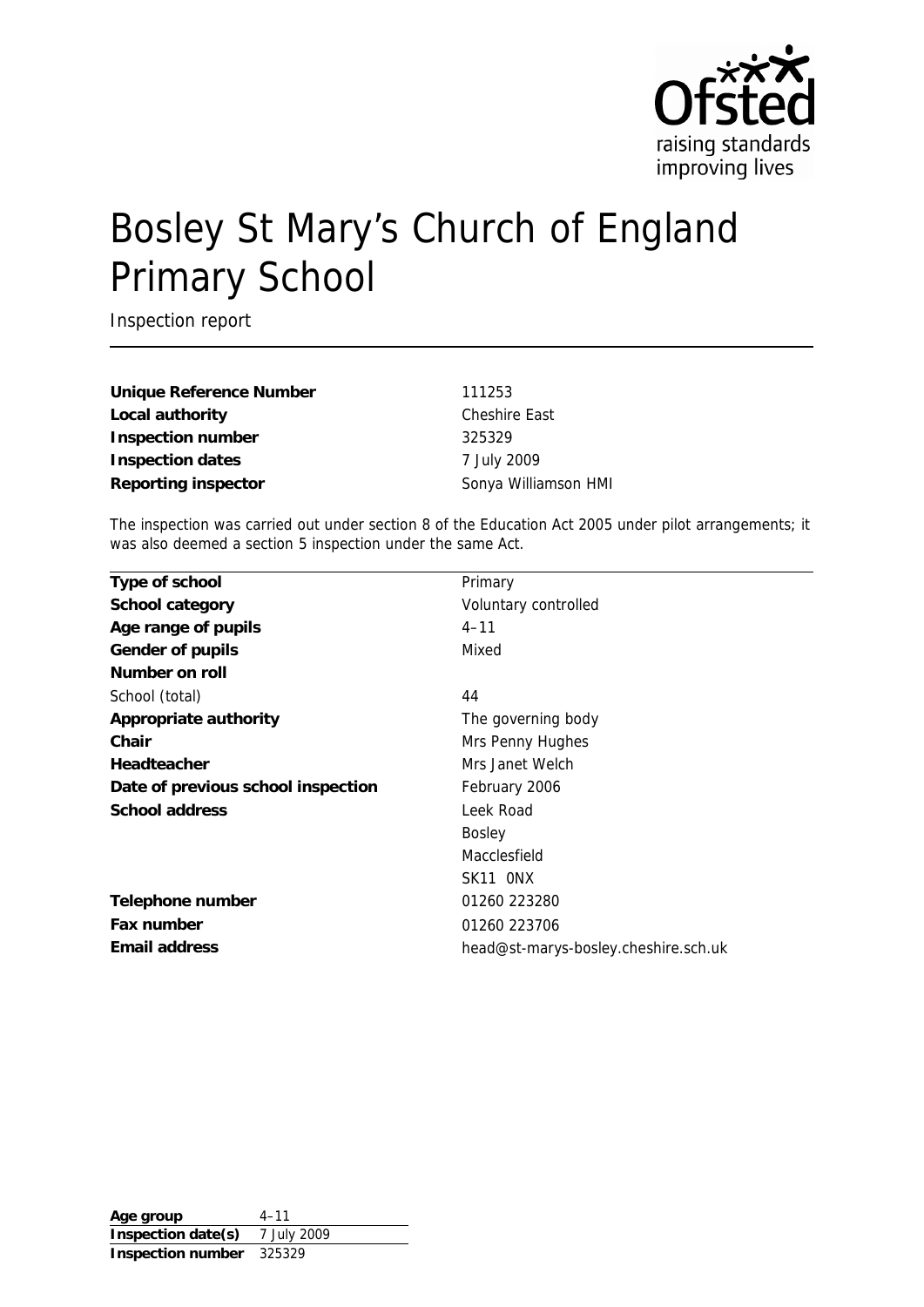

# Bosley St Mary's Church of England Primary School

Inspection report

Unique Reference Number 111253 Local authority **Cheshire East Inspection number** 325329 **Inspection dates** 7 July 2009

**Reporting inspector** Sonya Williamson HMI

The inspection was carried out under section 8 of the Education Act 2005 under pilot arrangements; it was also deemed a section 5 inspection under the same Act.

| Primary                              |
|--------------------------------------|
| Voluntary controlled                 |
| $4 - 11$                             |
| Mixed                                |
|                                      |
| 44                                   |
| The governing body                   |
| Mrs Penny Hughes                     |
| Mrs Janet Welch                      |
| February 2006                        |
| Leek Road                            |
| <b>Bosley</b>                        |
| Macclesfield                         |
| SK11 ONX                             |
| 01260 223280                         |
| 01260 223706                         |
| head@st-marys-bosley.cheshire.sch.uk |
|                                      |

**Age group** 4–11 **Inspection date(s)** 7 July 2009 **Inspection number** 325329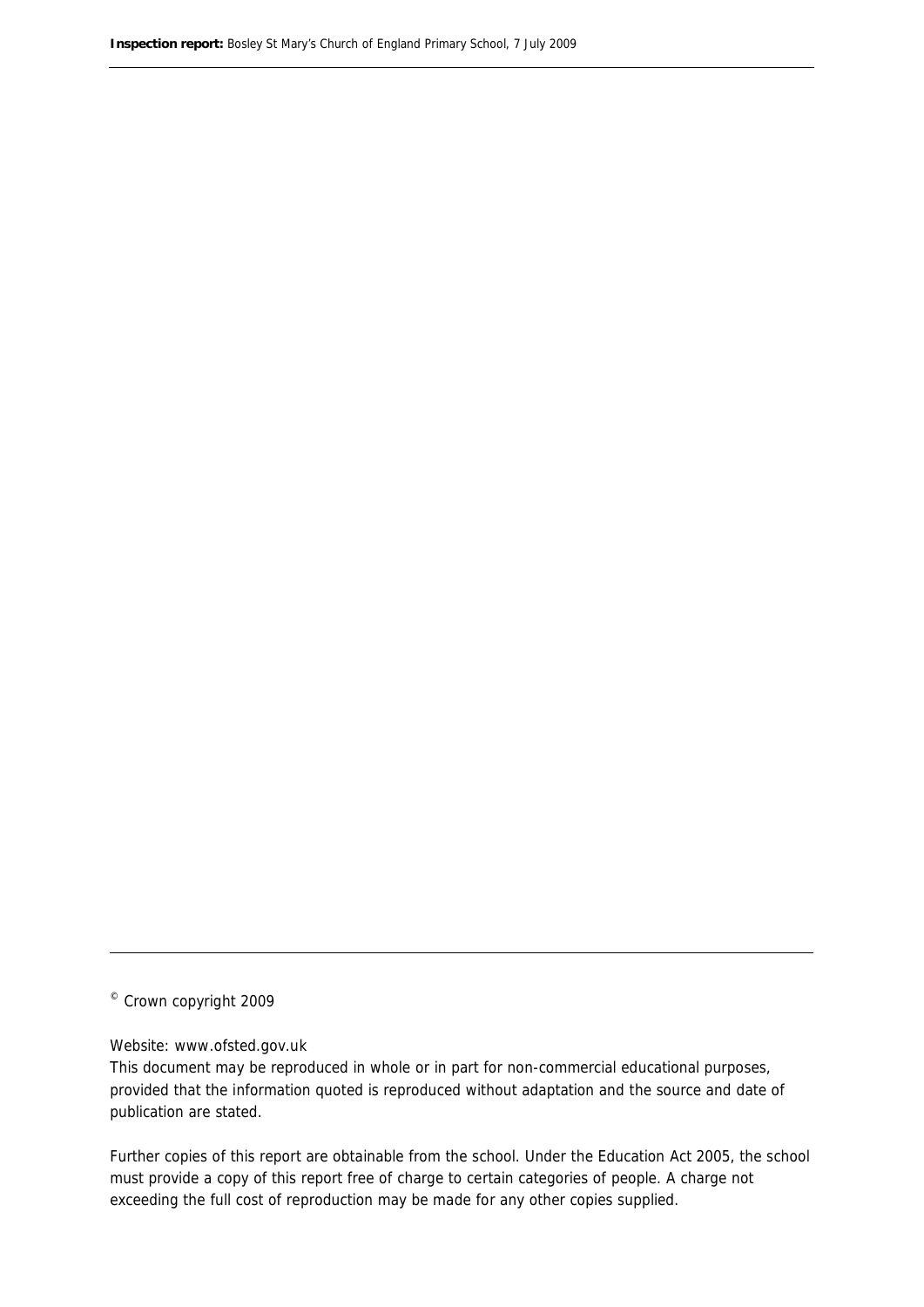© Crown copyright 2009

#### Website: www.ofsted.gov.uk

This document may be reproduced in whole or in part for non-commercial educational purposes, provided that the information quoted is reproduced without adaptation and the source and date of publication are stated.

Further copies of this report are obtainable from the school. Under the Education Act 2005, the school must provide a copy of this report free of charge to certain categories of people. A charge not exceeding the full cost of reproduction may be made for any other copies supplied.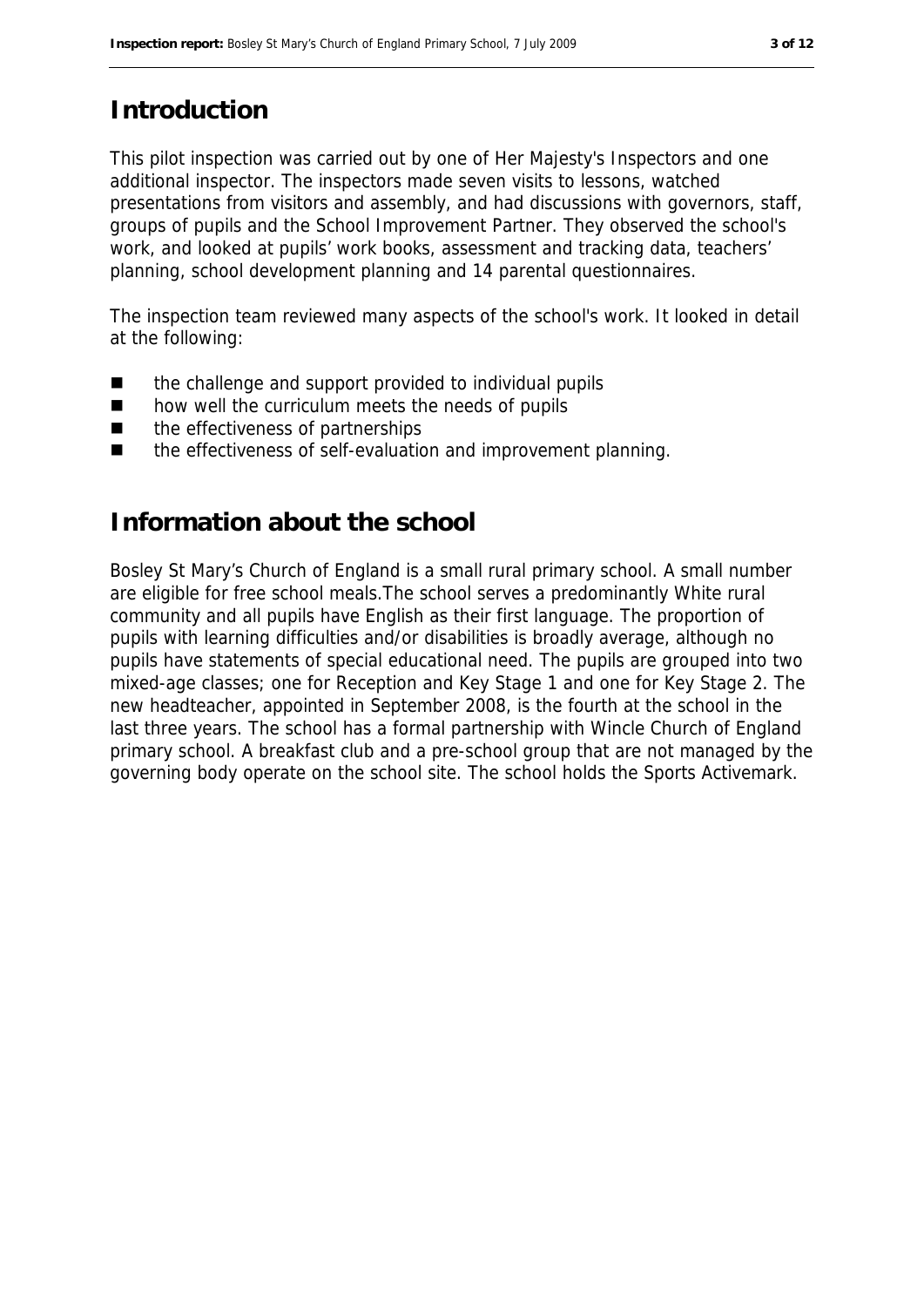## **Introduction**

This pilot inspection was carried out by one of Her Majesty's Inspectors and one additional inspector. The inspectors made seven visits to lessons, watched presentations from visitors and assembly, and had discussions with governors, staff, groups of pupils and the School Improvement Partner. They observed the school's work, and looked at pupils' work books, assessment and tracking data, teachers' planning, school development planning and 14 parental questionnaires.

The inspection team reviewed many aspects of the school's work. It looked in detail at the following:

- the challenge and support provided to individual pupils
- how well the curriculum meets the needs of pupils
- the effectiveness of partnerships
- the effectiveness of self-evaluation and improvement planning.

#### **Information about the school**

Bosley St Mary's Church of England is a small rural primary school. A small number are eligible for free school meals.The school serves a predominantly White rural community and all pupils have English as their first language. The proportion of pupils with learning difficulties and/or disabilities is broadly average, although no pupils have statements of special educational need. The pupils are grouped into two mixed-age classes; one for Reception and Key Stage 1 and one for Key Stage 2. The new headteacher, appointed in September 2008, is the fourth at the school in the last three years. The school has a formal partnership with Wincle Church of England primary school. A breakfast club and a pre-school group that are not managed by the governing body operate on the school site. The school holds the Sports Activemark.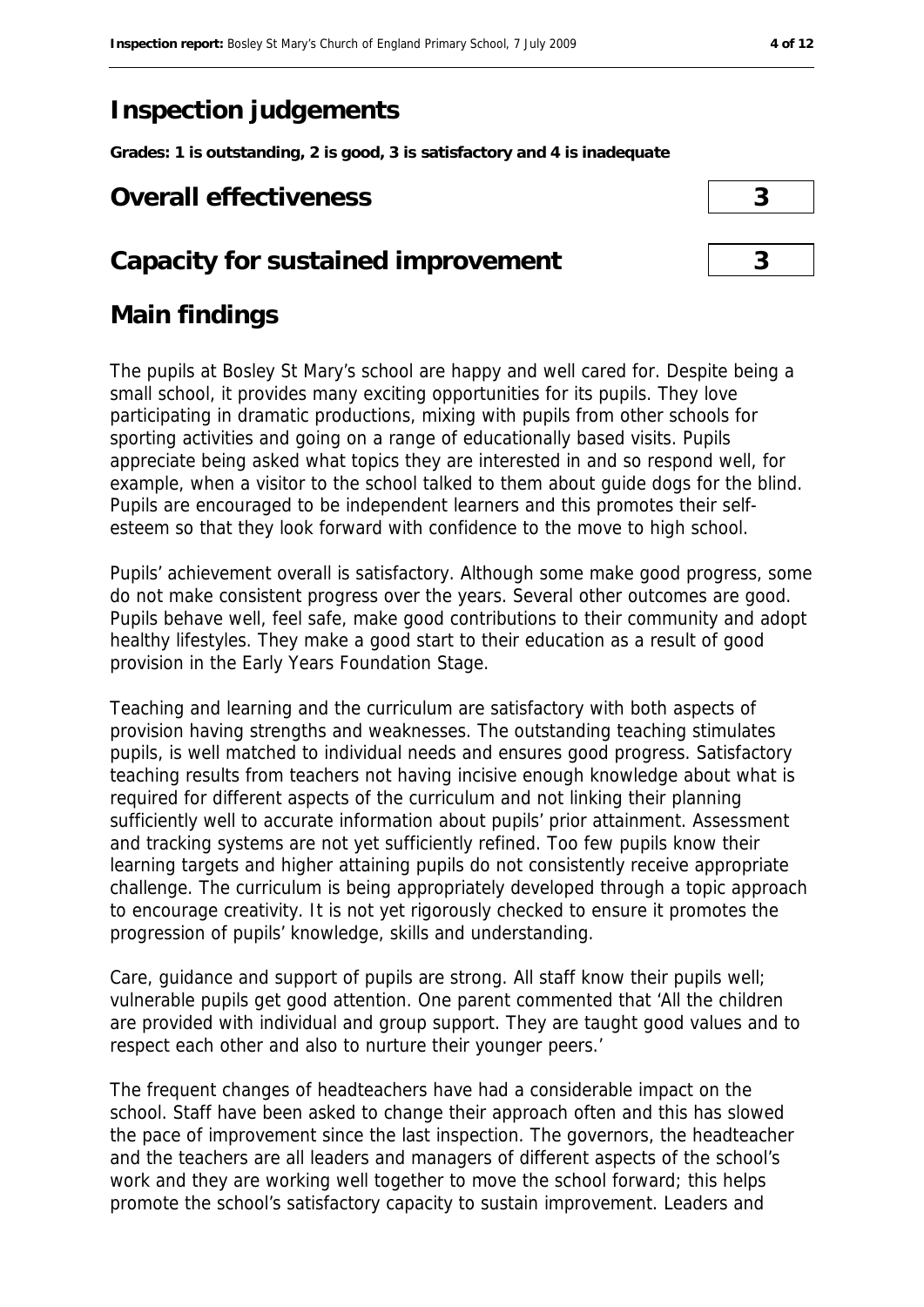## **Inspection judgements**

**Grades: 1 is outstanding, 2 is good, 3 is satisfactory and 4 is inadequate**

#### **Overall effectiveness 3**

#### **Capacity for sustained improvement 3**

#### **Main findings**

The pupils at Bosley St Mary's school are happy and well cared for. Despite being a small school, it provides many exciting opportunities for its pupils. They love participating in dramatic productions, mixing with pupils from other schools for sporting activities and going on a range of educationally based visits. Pupils appreciate being asked what topics they are interested in and so respond well, for example, when a visitor to the school talked to them about guide dogs for the blind. Pupils are encouraged to be independent learners and this promotes their selfesteem so that they look forward with confidence to the move to high school.

Pupils' achievement overall is satisfactory. Although some make good progress, some do not make consistent progress over the years. Several other outcomes are good. Pupils behave well, feel safe, make good contributions to their community and adopt healthy lifestyles. They make a good start to their education as a result of good provision in the Early Years Foundation Stage.

Teaching and learning and the curriculum are satisfactory with both aspects of provision having strengths and weaknesses. The outstanding teaching stimulates pupils, is well matched to individual needs and ensures good progress. Satisfactory teaching results from teachers not having incisive enough knowledge about what is required for different aspects of the curriculum and not linking their planning sufficiently well to accurate information about pupils' prior attainment. Assessment and tracking systems are not yet sufficiently refined. Too few pupils know their learning targets and higher attaining pupils do not consistently receive appropriate challenge. The curriculum is being appropriately developed through a topic approach to encourage creativity. It is not yet rigorously checked to ensure it promotes the progression of pupils' knowledge, skills and understanding.

Care, guidance and support of pupils are strong. All staff know their pupils well; vulnerable pupils get good attention. One parent commented that 'All the children are provided with individual and group support. They are taught good values and to respect each other and also to nurture their younger peers.'

The frequent changes of headteachers have had a considerable impact on the school. Staff have been asked to change their approach often and this has slowed the pace of improvement since the last inspection. The governors, the headteacher and the teachers are all leaders and managers of different aspects of the school's work and they are working well together to move the school forward; this helps promote the school's satisfactory capacity to sustain improvement. Leaders and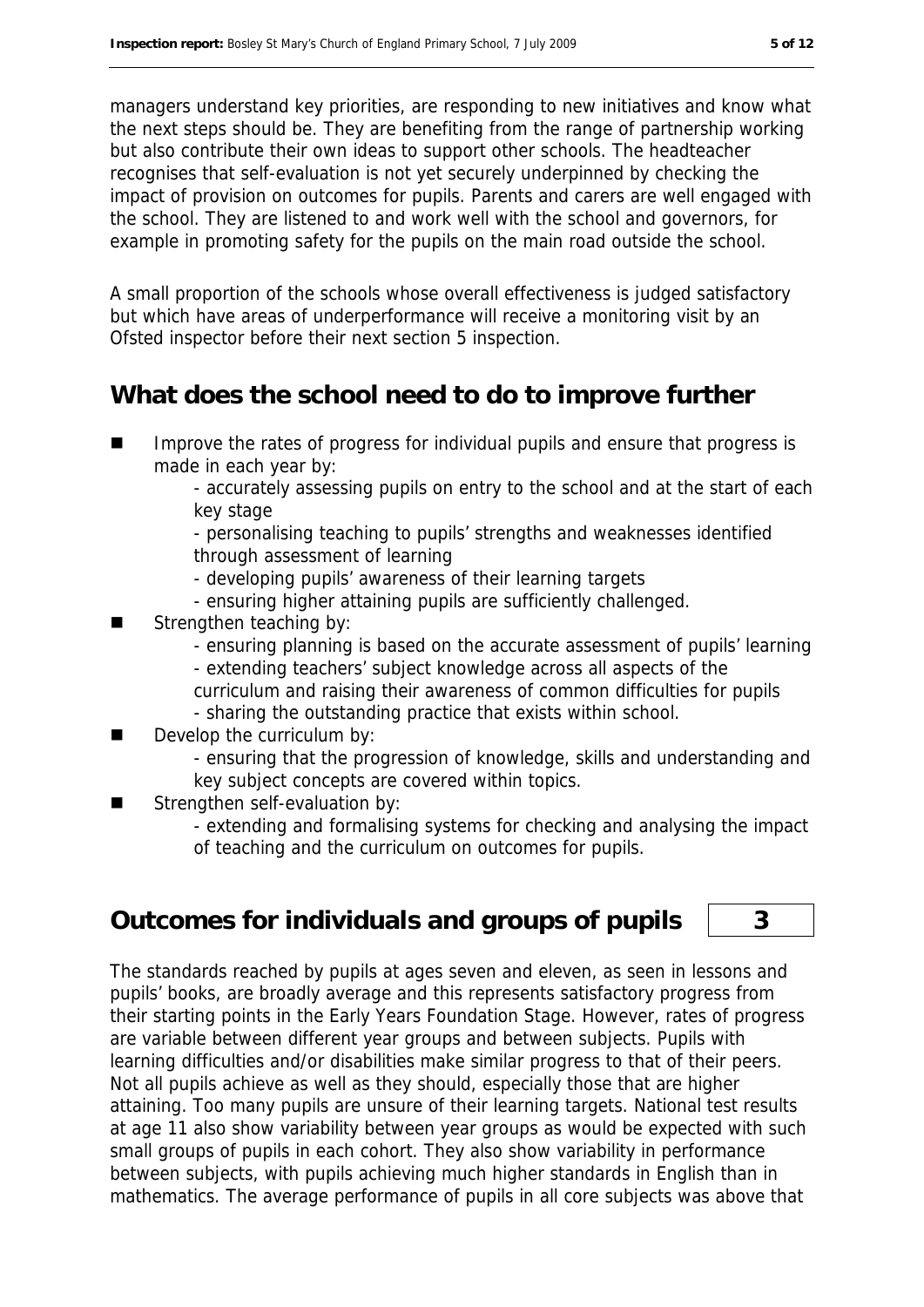managers understand key priorities, are responding to new initiatives and know what the next steps should be. They are benefiting from the range of partnership working but also contribute their own ideas to support other schools. The headteacher recognises that self-evaluation is not yet securely underpinned by checking the impact of provision on outcomes for pupils. Parents and carers are well engaged with the school. They are listened to and work well with the school and governors, for example in promoting safety for the pupils on the main road outside the school.

A small proportion of the schools whose overall effectiveness is judged satisfactory but which have areas of underperformance will receive a monitoring visit by an Ofsted inspector before their next section 5 inspection.

#### **What does the school need to do to improve further**

 Improve the rates of progress for individual pupils and ensure that progress is made in each year by:

- accurately assessing pupils on entry to the school and at the start of each key stage

- personalising teaching to pupils' strengths and weaknesses identified through assessment of learning

- developing pupils' awareness of their learning targets
- ensuring higher attaining pupils are sufficiently challenged.
- Strengthen teaching by:
	- ensuring planning is based on the accurate assessment of pupils' learning
	- extending teachers' subject knowledge across all aspects of the
	- curriculum and raising their awareness of common difficulties for pupils - sharing the outstanding practice that exists within school.
- Develop the curriculum by:
	- ensuring that the progression of knowledge, skills and understanding and key subject concepts are covered within topics.
- Strengthen self-evaluation by:

- extending and formalising systems for checking and analysing the impact of teaching and the curriculum on outcomes for pupils.

#### **Outcomes for individuals and groups of pupils 3**

The standards reached by pupils at ages seven and eleven, as seen in lessons and pupils' books, are broadly average and this represents satisfactory progress from their starting points in the Early Years Foundation Stage. However, rates of progress are variable between different year groups and between subjects. Pupils with learning difficulties and/or disabilities make similar progress to that of their peers. Not all pupils achieve as well as they should, especially those that are higher attaining. Too many pupils are unsure of their learning targets. National test results at age 11 also show variability between year groups as would be expected with such small groups of pupils in each cohort. They also show variability in performance between subjects, with pupils achieving much higher standards in English than in mathematics. The average performance of pupils in all core subjects was above that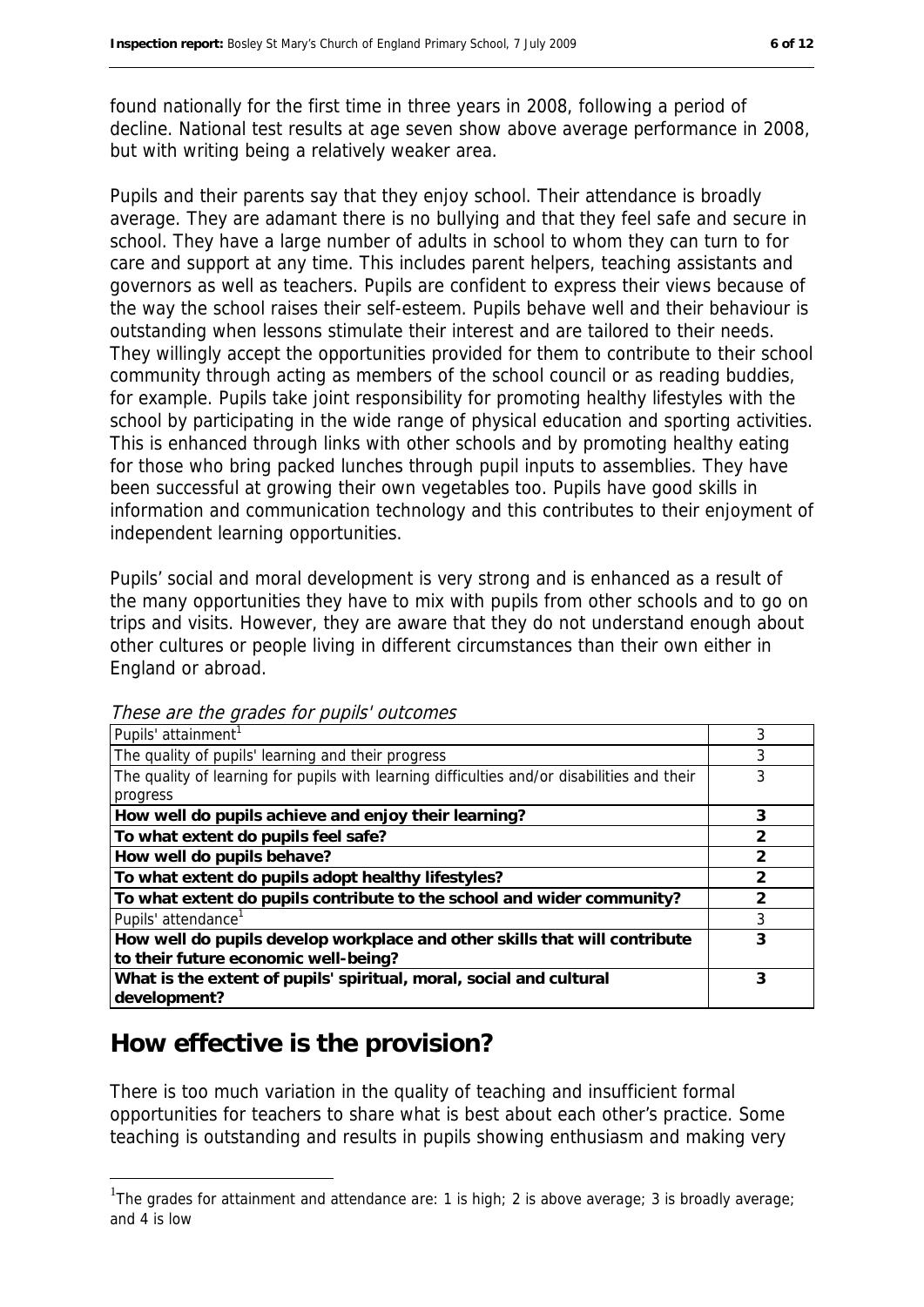found nationally for the first time in three years in 2008, following a period of decline. National test results at age seven show above average performance in 2008, but with writing being a relatively weaker area.

Pupils and their parents say that they enjoy school. Their attendance is broadly average. They are adamant there is no bullying and that they feel safe and secure in school. They have a large number of adults in school to whom they can turn to for care and support at any time. This includes parent helpers, teaching assistants and governors as well as teachers. Pupils are confident to express their views because of the way the school raises their self-esteem. Pupils behave well and their behaviour is outstanding when lessons stimulate their interest and are tailored to their needs. They willingly accept the opportunities provided for them to contribute to their school community through acting as members of the school council or as reading buddies, for example. Pupils take joint responsibility for promoting healthy lifestyles with the school by participating in the wide range of physical education and sporting activities. This is enhanced through links with other schools and by promoting healthy eating for those who bring packed lunches through pupil inputs to assemblies. They have been successful at growing their own vegetables too. Pupils have good skills in information and communication technology and this contributes to their enjoyment of independent learning opportunities.

Pupils' social and moral development is very strong and is enhanced as a result of the many opportunities they have to mix with pupils from other schools and to go on trips and visits. However, they are aware that they do not understand enough about other cultures or people living in different circumstances than their own either in England or abroad.

| Pupils' attainment <sup>1</sup>                                                             |               |
|---------------------------------------------------------------------------------------------|---------------|
| The quality of pupils' learning and their progress                                          | 3             |
| The quality of learning for pupils with learning difficulties and/or disabilities and their |               |
| progress                                                                                    |               |
| How well do pupils achieve and enjoy their learning?                                        | 3             |
| To what extent do pupils feel safe?                                                         | $\mathcal{P}$ |
| How well do pupils behave?                                                                  |               |
| To what extent do pupils adopt healthy lifestyles?                                          | $\mathcal{P}$ |
| To what extent do pupils contribute to the school and wider community?                      | $\mathcal{P}$ |
| Pupils' attendance <sup>1</sup>                                                             | 3             |
| How well do pupils develop workplace and other skills that will contribute                  | 3             |
| to their future economic well-being?                                                        |               |
| What is the extent of pupils' spiritual, moral, social and cultural                         | 3             |
| development?                                                                                |               |

These are the grades for pupils' outcomes

## **How effective is the provision?**

1

There is too much variation in the quality of teaching and insufficient formal opportunities for teachers to share what is best about each other's practice. Some teaching is outstanding and results in pupils showing enthusiasm and making very

<sup>&</sup>lt;sup>1</sup>The grades for attainment and attendance are: 1 is high; 2 is above average; 3 is broadly average; and 4 is low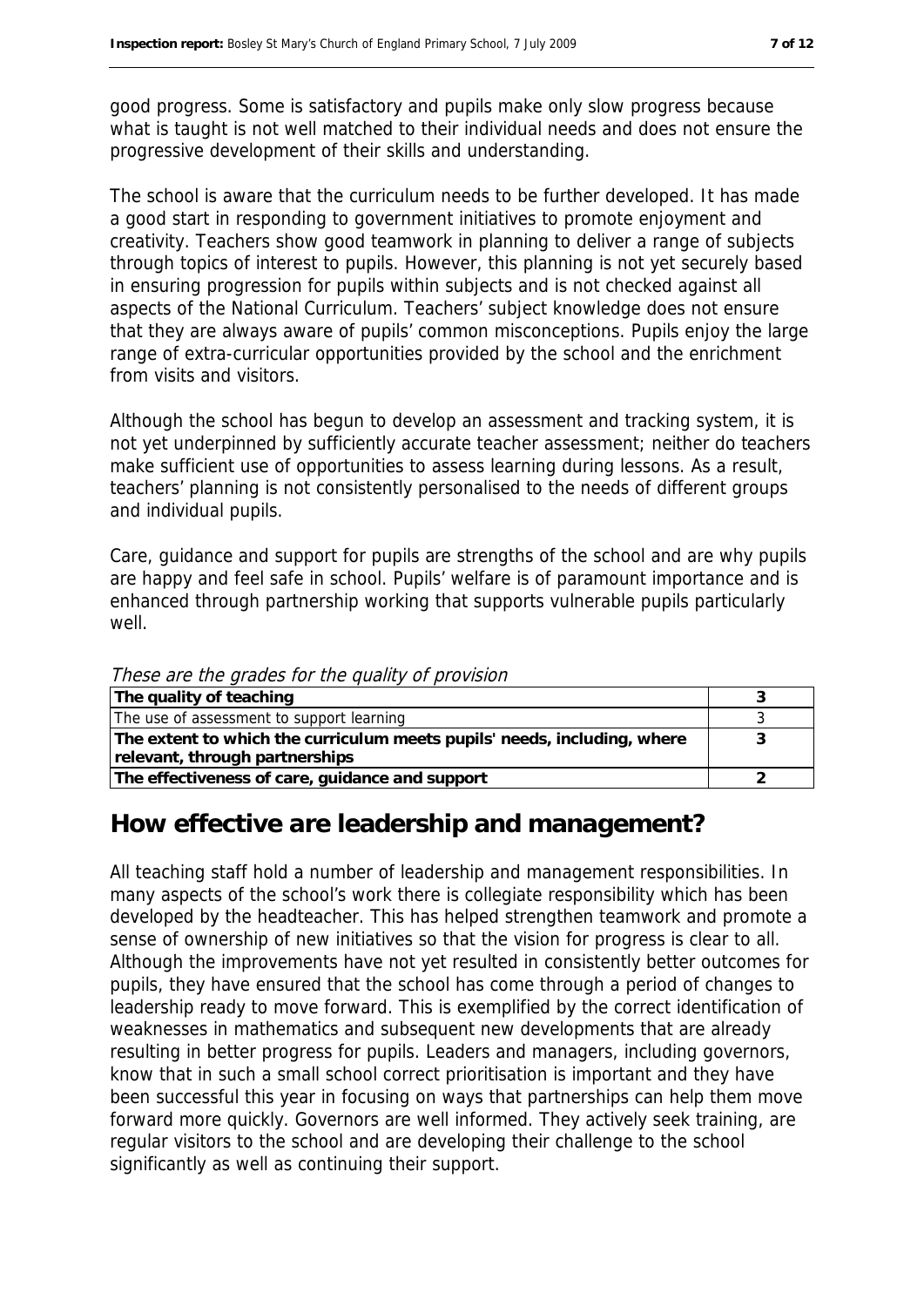good progress. Some is satisfactory and pupils make only slow progress because what is taught is not well matched to their individual needs and does not ensure the progressive development of their skills and understanding.

The school is aware that the curriculum needs to be further developed. It has made a good start in responding to government initiatives to promote enjoyment and creativity. Teachers show good teamwork in planning to deliver a range of subjects through topics of interest to pupils. However, this planning is not yet securely based in ensuring progression for pupils within subjects and is not checked against all aspects of the National Curriculum. Teachers' subject knowledge does not ensure that they are always aware of pupils' common misconceptions. Pupils enjoy the large range of extra-curricular opportunities provided by the school and the enrichment from visits and visitors.

Although the school has begun to develop an assessment and tracking system, it is not yet underpinned by sufficiently accurate teacher assessment; neither do teachers make sufficient use of opportunities to assess learning during lessons. As a result, teachers' planning is not consistently personalised to the needs of different groups and individual pupils.

Care, guidance and support for pupils are strengths of the school and are why pupils are happy and feel safe in school. Pupils' welfare is of paramount importance and is enhanced through partnership working that supports vulnerable pupils particularly well.

These are the grades for the quality of provision

| The quality of teaching                                                  |  |
|--------------------------------------------------------------------------|--|
| The use of assessment to support learning                                |  |
| The extent to which the curriculum meets pupils' needs, including, where |  |
| relevant, through partnerships                                           |  |
| The effectiveness of care, guidance and support                          |  |

#### **How effective are leadership and management?**

All teaching staff hold a number of leadership and management responsibilities. In many aspects of the school's work there is collegiate responsibility which has been developed by the headteacher. This has helped strengthen teamwork and promote a sense of ownership of new initiatives so that the vision for progress is clear to all. Although the improvements have not yet resulted in consistently better outcomes for pupils, they have ensured that the school has come through a period of changes to leadership ready to move forward. This is exemplified by the correct identification of weaknesses in mathematics and subsequent new developments that are already resulting in better progress for pupils. Leaders and managers, including governors, know that in such a small school correct prioritisation is important and they have been successful this year in focusing on ways that partnerships can help them move forward more quickly. Governors are well informed. They actively seek training, are regular visitors to the school and are developing their challenge to the school significantly as well as continuing their support.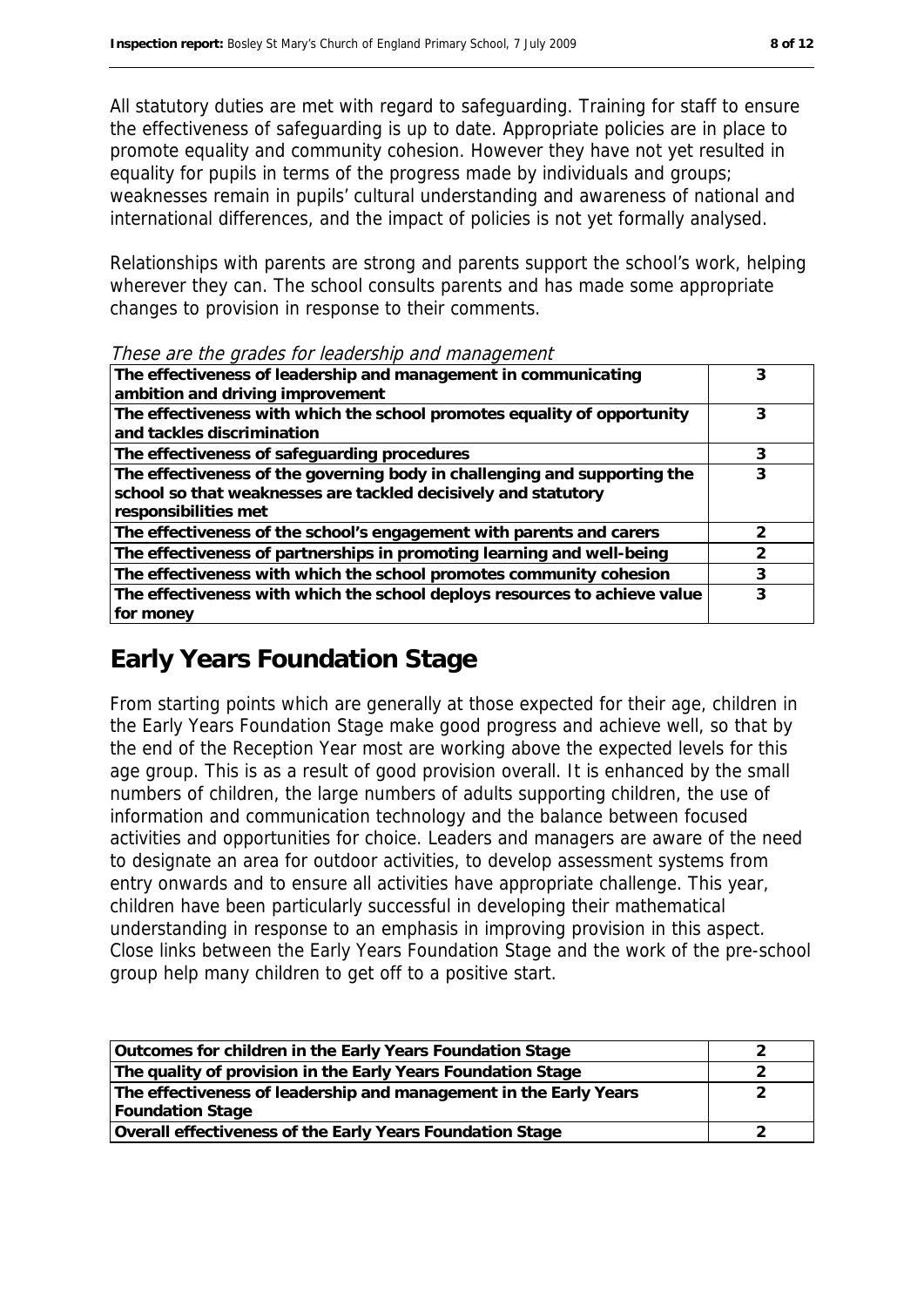All statutory duties are met with regard to safeguarding. Training for staff to ensure the effectiveness of safeguarding is up to date. Appropriate policies are in place to promote equality and community cohesion. However they have not yet resulted in equality for pupils in terms of the progress made by individuals and groups; weaknesses remain in pupils' cultural understanding and awareness of national and international differences, and the impact of policies is not yet formally analysed.

Relationships with parents are strong and parents support the school's work, helping wherever they can. The school consults parents and has made some appropriate changes to provision in response to their comments.

| The effectiveness of leadership and management in communicating<br>ambition and driving improvement                                                                 |   |
|---------------------------------------------------------------------------------------------------------------------------------------------------------------------|---|
| The effectiveness with which the school promotes equality of opportunity<br>and tackles discrimination                                                              |   |
| The effectiveness of safeguarding procedures                                                                                                                        |   |
| The effectiveness of the governing body in challenging and supporting the<br>school so that weaknesses are tackled decisively and statutory<br>responsibilities met |   |
| The effectiveness of the school's engagement with parents and carers                                                                                                |   |
| The effectiveness of partnerships in promoting learning and well-being                                                                                              | っ |
| The effectiveness with which the school promotes community cohesion                                                                                                 |   |
| The effectiveness with which the school deploys resources to achieve value<br>for money                                                                             | 3 |

#### These are the grades for leadership and management

# **Early Years Foundation Stage**

From starting points which are generally at those expected for their age, children in the Early Years Foundation Stage make good progress and achieve well, so that by the end of the Reception Year most are working above the expected levels for this age group. This is as a result of good provision overall. It is enhanced by the small numbers of children, the large numbers of adults supporting children, the use of information and communication technology and the balance between focused activities and opportunities for choice. Leaders and managers are aware of the need to designate an area for outdoor activities, to develop assessment systems from entry onwards and to ensure all activities have appropriate challenge. This year, children have been particularly successful in developing their mathematical understanding in response to an emphasis in improving provision in this aspect. Close links between the Early Years Foundation Stage and the work of the pre-school group help many children to get off to a positive start.

| Outcomes for children in the Early Years Foundation Stage         |  |
|-------------------------------------------------------------------|--|
| The quality of provision in the Early Years Foundation Stage      |  |
| The effectiveness of leadership and management in the Early Years |  |
| <b>Foundation Stage</b>                                           |  |
| Overall effectiveness of the Early Years Foundation Stage         |  |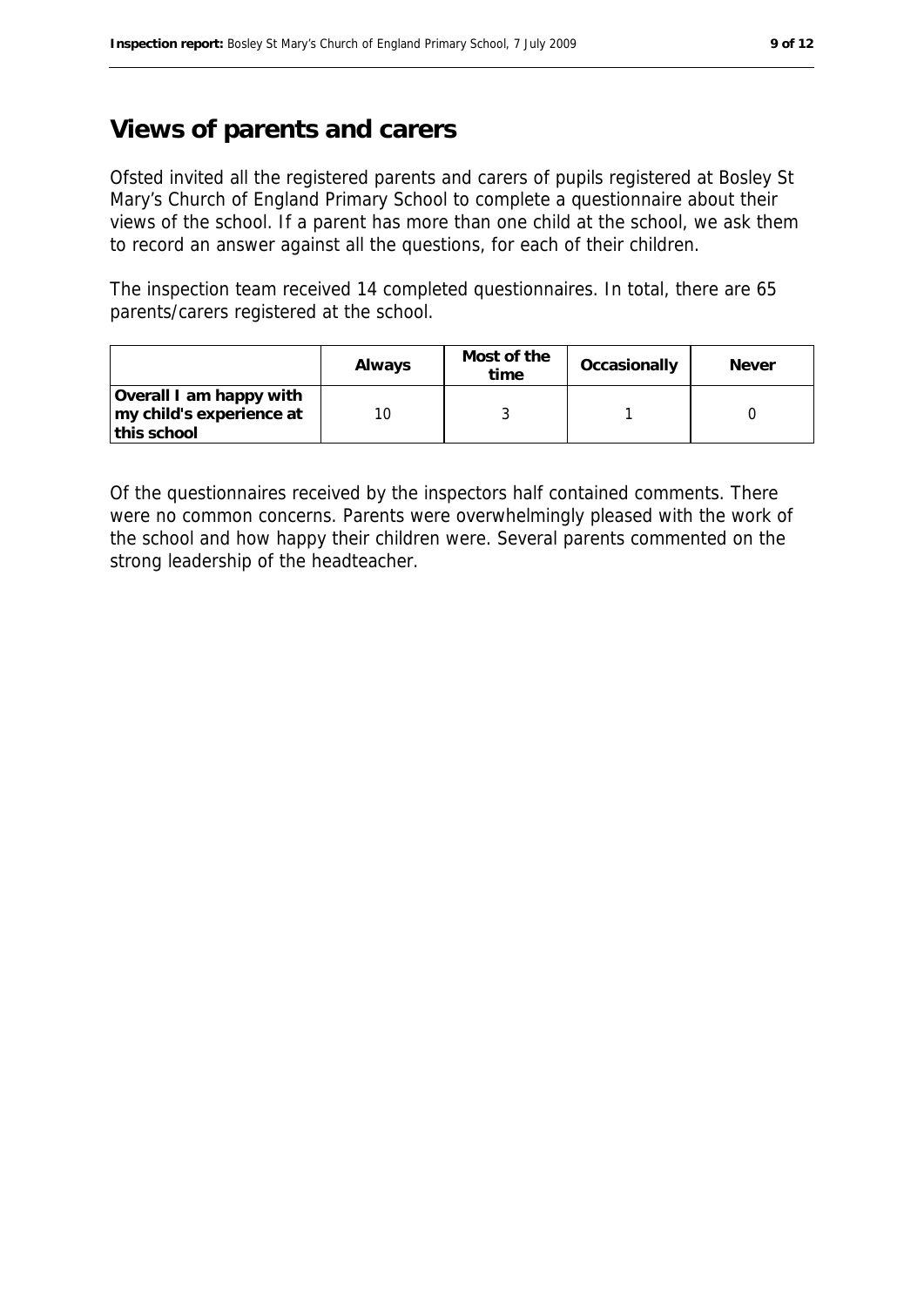#### **Views of parents and carers**

Ofsted invited all the registered parents and carers of pupils registered at Bosley St Mary's Church of England Primary School to complete a questionnaire about their views of the school. If a parent has more than one child at the school, we ask them to record an answer against all the questions, for each of their children.

The inspection team received 14 completed questionnaires. In total, there are 65 parents/carers registered at the school.

|                                                                    | Always | Most of the<br>time | Occasionally | Never |
|--------------------------------------------------------------------|--------|---------------------|--------------|-------|
| Overall I am happy with<br>my child's experience at<br>this school |        |                     |              |       |

Of the questionnaires received by the inspectors half contained comments. There were no common concerns. Parents were overwhelmingly pleased with the work of the school and how happy their children were. Several parents commented on the strong leadership of the headteacher.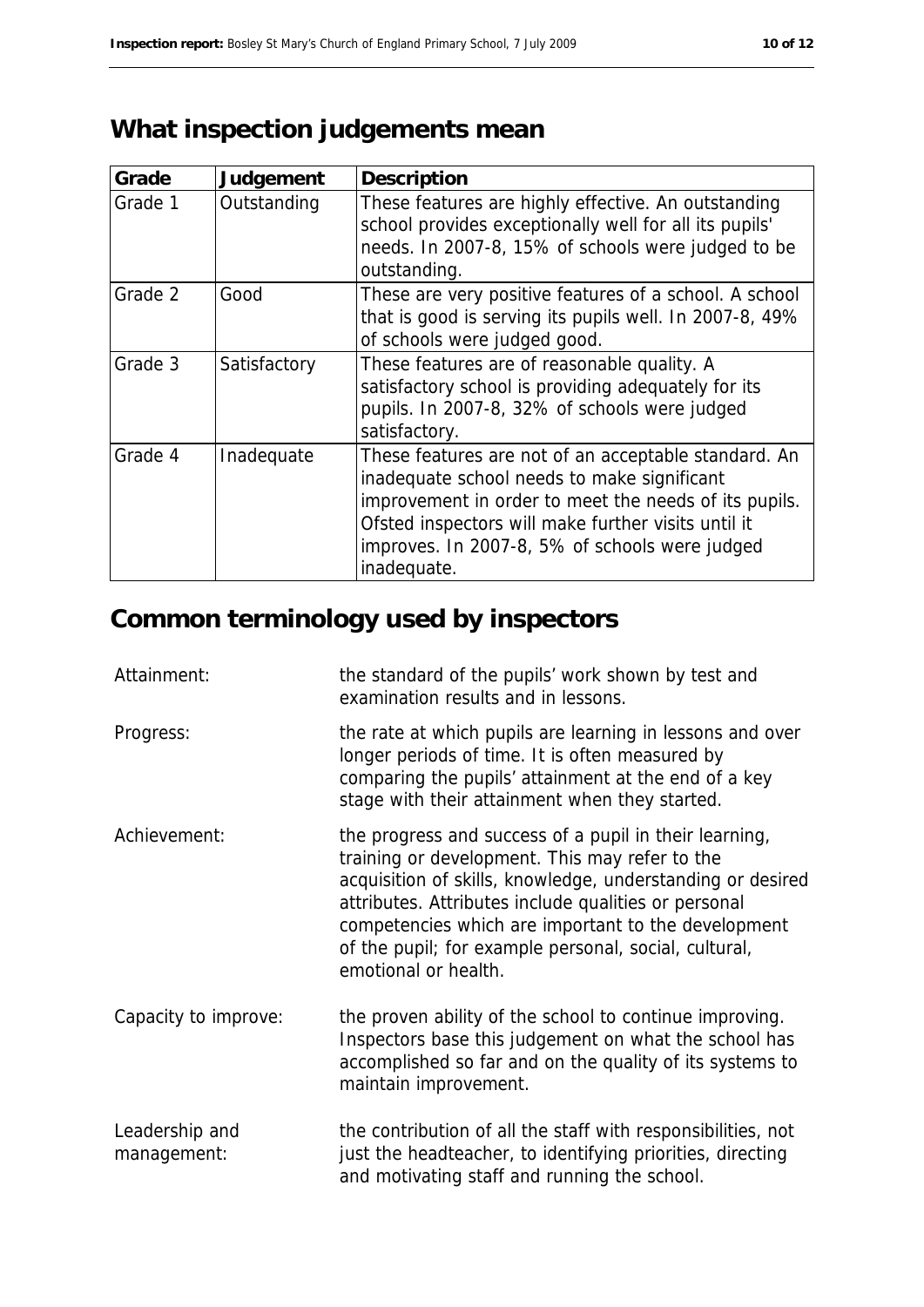# **What inspection judgements mean**

| Grade   | Judgement    | Description                                                                                                                                                                                                                                                                          |
|---------|--------------|--------------------------------------------------------------------------------------------------------------------------------------------------------------------------------------------------------------------------------------------------------------------------------------|
| Grade 1 | Outstanding  | These features are highly effective. An outstanding<br>school provides exceptionally well for all its pupils'<br>needs. In 2007-8, 15% of schools were judged to be<br>outstanding.                                                                                                  |
| Grade 2 | Good         | These are very positive features of a school. A school<br>that is good is serving its pupils well. In 2007-8, 49%<br>of schools were judged good.                                                                                                                                    |
| Grade 3 | Satisfactory | These features are of reasonable quality. A<br>satisfactory school is providing adequately for its<br>pupils. In 2007-8, 32% of schools were judged<br>satisfactory.                                                                                                                 |
| Grade 4 | Inadequate   | These features are not of an acceptable standard. An<br>inadequate school needs to make significant<br>improvement in order to meet the needs of its pupils.<br>Ofsted inspectors will make further visits until it<br>improves. In 2007-8, 5% of schools were judged<br>inadequate. |

# **Common terminology used by inspectors**

| Attainment:                   | the standard of the pupils' work shown by test and<br>examination results and in lessons.                                                                                                                                                                                                                                                                              |
|-------------------------------|------------------------------------------------------------------------------------------------------------------------------------------------------------------------------------------------------------------------------------------------------------------------------------------------------------------------------------------------------------------------|
| Progress:                     | the rate at which pupils are learning in lessons and over<br>longer periods of time. It is often measured by<br>comparing the pupils' attainment at the end of a key<br>stage with their attainment when they started.                                                                                                                                                 |
| Achievement:                  | the progress and success of a pupil in their learning,<br>training or development. This may refer to the<br>acquisition of skills, knowledge, understanding or desired<br>attributes. Attributes include qualities or personal<br>competencies which are important to the development<br>of the pupil; for example personal, social, cultural,<br>emotional or health. |
| Capacity to improve:          | the proven ability of the school to continue improving.<br>Inspectors base this judgement on what the school has<br>accomplished so far and on the quality of its systems to<br>maintain improvement.                                                                                                                                                                  |
| Leadership and<br>management: | the contribution of all the staff with responsibilities, not<br>just the headteacher, to identifying priorities, directing<br>and motivating staff and running the school.                                                                                                                                                                                             |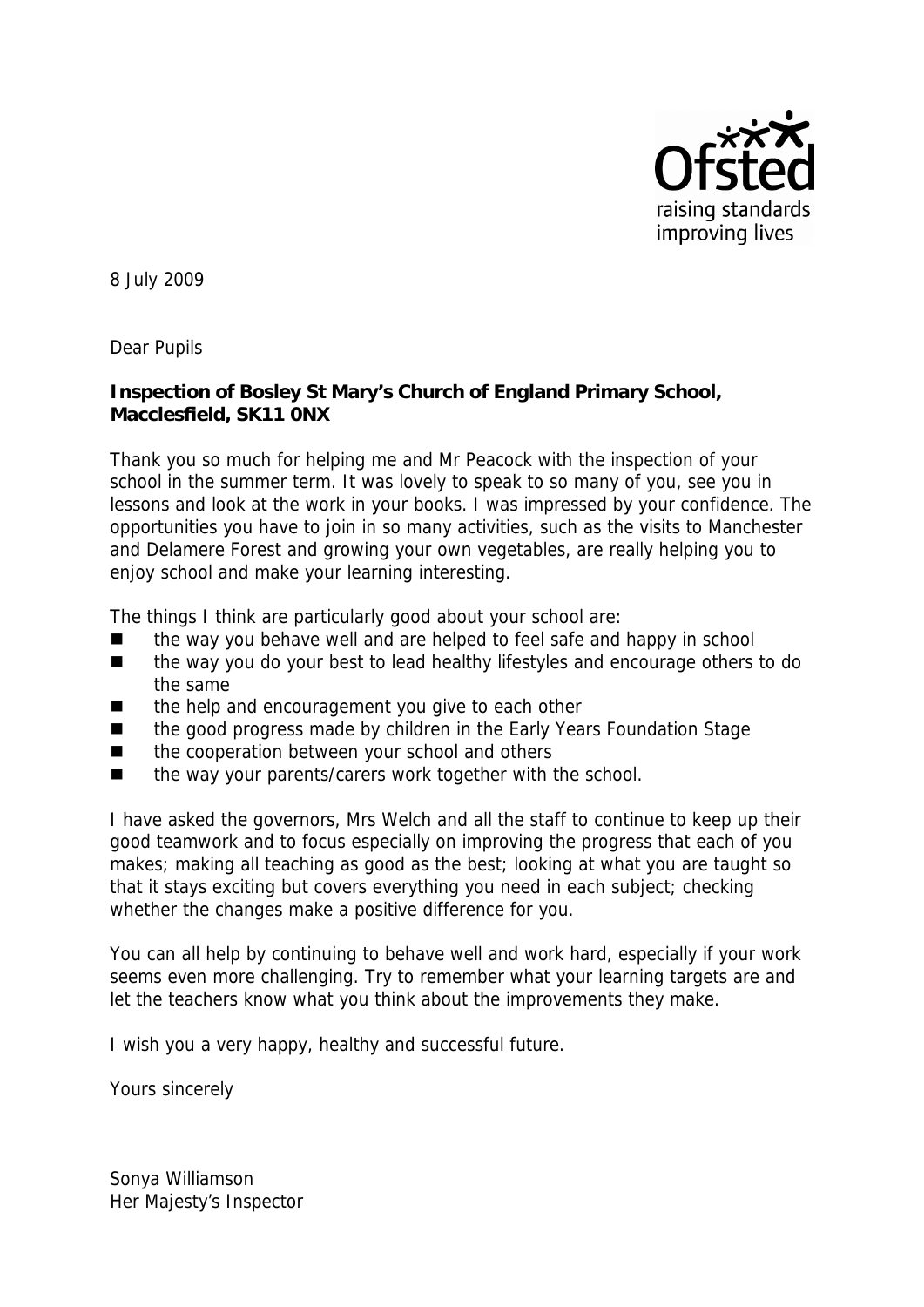

8 July 2009

Dear Pupils

**Inspection of Bosley St Mary's Church of England Primary School, Macclesfield, SK11 0NX**

Thank you so much for helping me and Mr Peacock with the inspection of your school in the summer term. It was lovely to speak to so many of you, see you in lessons and look at the work in your books. I was impressed by your confidence. The opportunities you have to join in so many activities, such as the visits to Manchester and Delamere Forest and growing your own vegetables, are really helping you to enjoy school and make your learning interesting.

The things I think are particularly good about your school are:

- the way you behave well and are helped to feel safe and happy in school
- the way you do your best to lead healthy lifestyles and encourage others to do the same
- $\blacksquare$  the help and encouragement you give to each other
- the good progress made by children in the Early Years Foundation Stage
- the cooperation between your school and others
- the way your parents/carers work together with the school.

I have asked the governors, Mrs Welch and all the staff to continue to keep up their good teamwork and to focus especially on improving the progress that each of you makes; making all teaching as good as the best; looking at what you are taught so that it stays exciting but covers everything you need in each subject; checking whether the changes make a positive difference for you.

You can all help by continuing to behave well and work hard, especially if your work seems even more challenging. Try to remember what your learning targets are and let the teachers know what you think about the improvements they make.

I wish you a very happy, healthy and successful future.

Yours sincerely

Sonya Williamson Her Majesty's Inspector